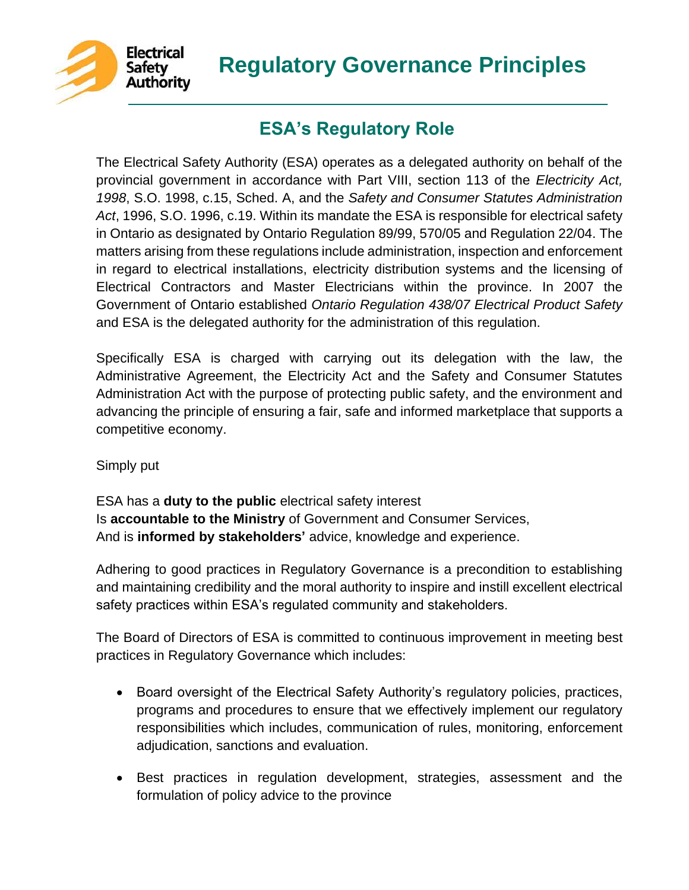

# **Regulatory Governance Principles**

## **ESA's Regulatory Role**

The Electrical Safety Authority (ESA) operates as a delegated authority on behalf of the provincial government in accordance with Part VIII, section 113 of the *Electricity Act, 1998*, S.O. 1998, c.15, Sched. A, and the *Safety and Consumer Statutes Administration Act*, 1996, S.O. 1996, c.19. Within its mandate the ESA is responsible for electrical safety in Ontario as designated by Ontario Regulation 89/99, 570/05 and Regulation 22/04. The matters arising from these regulations include administration, inspection and enforcement in regard to electrical installations, electricity distribution systems and the licensing of Electrical Contractors and Master Electricians within the province. In 2007 the Government of Ontario established *Ontario Regulation 438/07 Electrical Product Safety*  and ESA is the delegated authority for the administration of this regulation.

Specifically ESA is charged with carrying out its delegation with the law, the Administrative Agreement, the Electricity Act and the Safety and Consumer Statutes Administration Act with the purpose of protecting public safety, and the environment and advancing the principle of ensuring a fair, safe and informed marketplace that supports a competitive economy.

Simply put

ESA has a **duty to the public** electrical safety interest Is **accountable to the Ministry** of Government and Consumer Services, And is **informed by stakeholders'** advice, knowledge and experience.

Adhering to good practices in Regulatory Governance is a precondition to establishing and maintaining credibility and the moral authority to inspire and instill excellent electrical safety practices within ESA's regulated community and stakeholders.

The Board of Directors of ESA is committed to continuous improvement in meeting best practices in Regulatory Governance which includes:

- Board oversight of the Electrical Safety Authority's regulatory policies, practices, programs and procedures to ensure that we effectively implement our regulatory responsibilities which includes, communication of rules, monitoring, enforcement adjudication, sanctions and evaluation.
- Best practices in regulation development, strategies, assessment and the formulation of policy advice to the province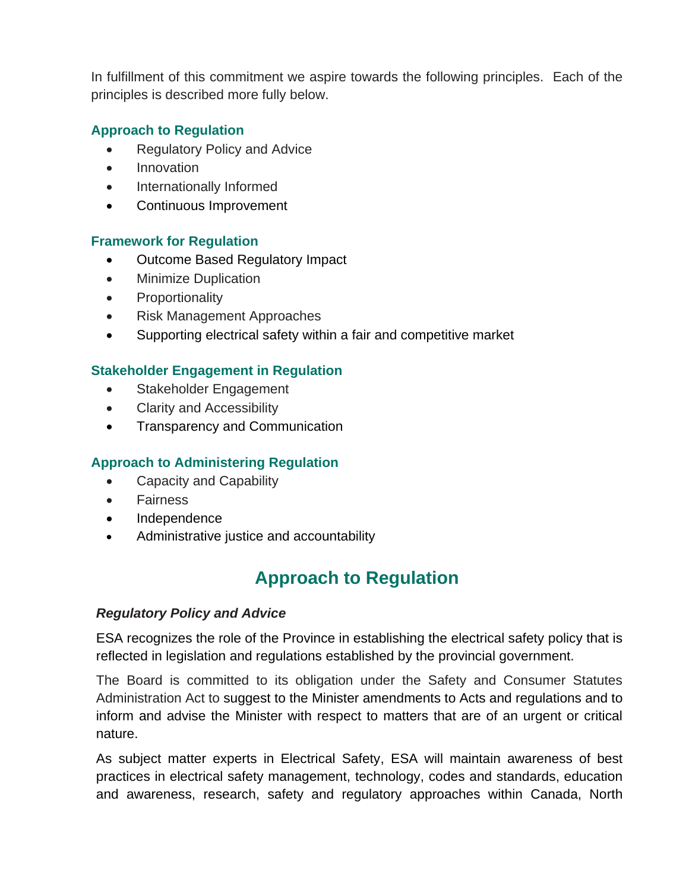In fulfillment of this commitment we aspire towards the following principles. Each of the principles is described more fully below.

### **Approach to Regulation**

- Regulatory Policy and Advice
- Innovation
- Internationally Informed
- Continuous Improvement

#### **Framework for Regulation**

- Outcome Based Regulatory Impact
- Minimize Duplication
- Proportionality
- Risk Management Approaches
- Supporting electrical safety within a fair and competitive market

#### **Stakeholder Engagement in Regulation**

- Stakeholder Engagement
- Clarity and Accessibility
- Transparency and Communication

### **Approach to Administering Regulation**

- Capacity and Capability
- Fairness
- Independence
- Administrative justice and accountability

## **Approach to Regulation**

#### *Regulatory Policy and Advice*

ESA recognizes the role of the Province in establishing the electrical safety policy that is reflected in legislation and regulations established by the provincial government.

The Board is committed to its obligation under the Safety and Consumer Statutes Administration Act to suggest to the Minister amendments to Acts and regulations and to inform and advise the Minister with respect to matters that are of an urgent or critical nature.

As subject matter experts in Electrical Safety, ESA will maintain awareness of best practices in electrical safety management, technology, codes and standards, education and awareness, research, safety and regulatory approaches within Canada, North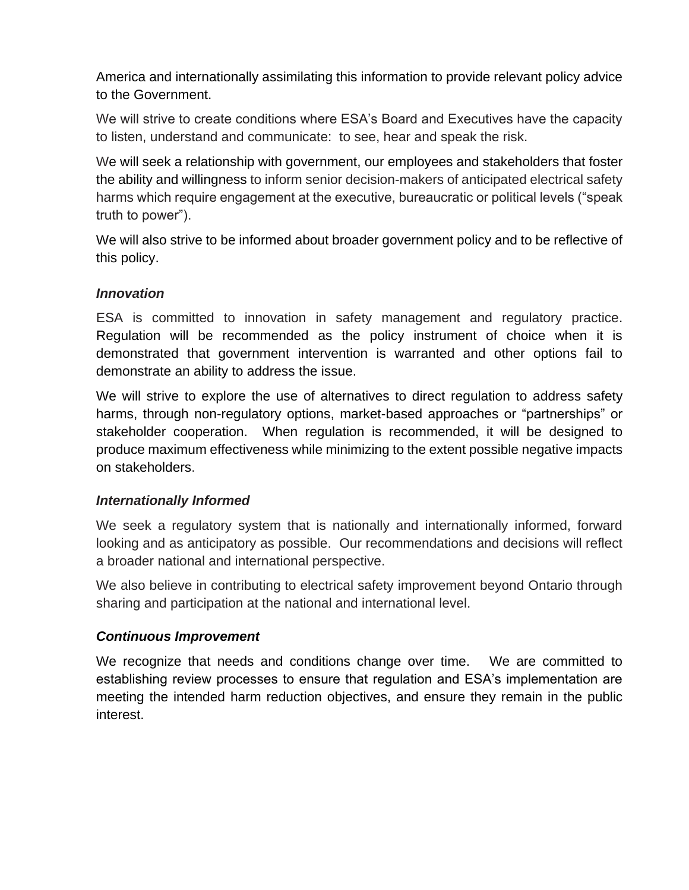America and internationally assimilating this information to provide relevant policy advice to the Government.

We will strive to create conditions where ESA's Board and Executives have the capacity to listen, understand and communicate: to see, hear and speak the risk.

We will seek a relationship with government, our employees and stakeholders that foster the ability and willingness to inform senior decision-makers of anticipated electrical safety harms which require engagement at the executive, bureaucratic or political levels ("speak truth to power").

We will also strive to be informed about broader government policy and to be reflective of this policy.

#### *Innovation*

ESA is committed to innovation in safety management and regulatory practice. Regulation will be recommended as the policy instrument of choice when it is demonstrated that government intervention is warranted and other options fail to demonstrate an ability to address the issue.

We will strive to explore the use of alternatives to direct regulation to address safety harms, through non-regulatory options, market-based approaches or "partnerships" or stakeholder cooperation. When regulation is recommended, it will be designed to produce maximum effectiveness while minimizing to the extent possible negative impacts on stakeholders.

#### *Internationally Informed*

We seek a regulatory system that is nationally and internationally informed, forward looking and as anticipatory as possible. Our recommendations and decisions will reflect a broader national and international perspective.

We also believe in contributing to electrical safety improvement beyond Ontario through sharing and participation at the national and international level.

### *Continuous Improvement*

We recognize that needs and conditions change over time. We are committed to establishing review processes to ensure that regulation and ESA's implementation are meeting the intended harm reduction objectives, and ensure they remain in the public interest.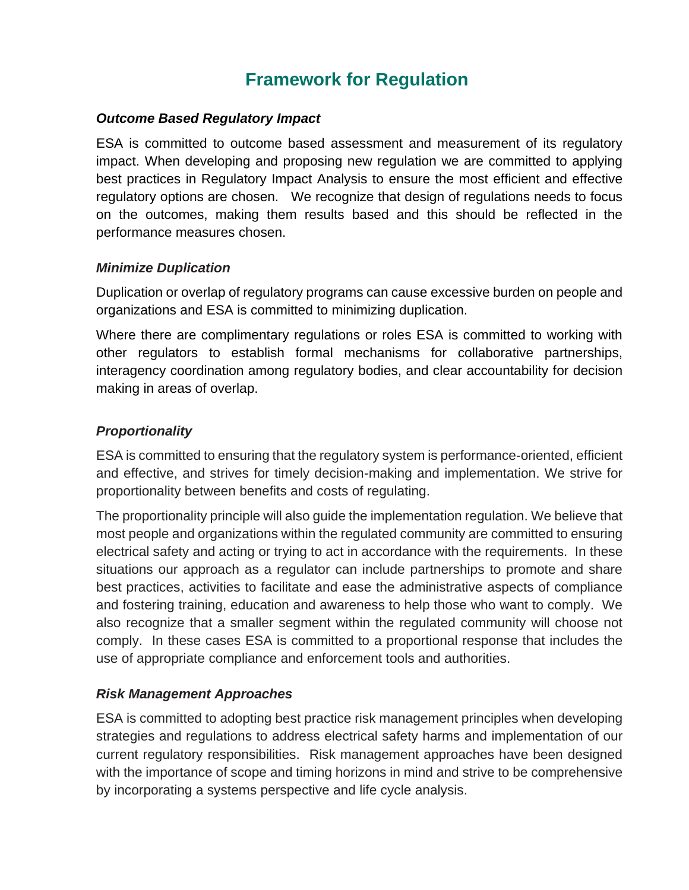## **Framework for Regulation**

#### *Outcome Based Regulatory Impact*

ESA is committed to outcome based assessment and measurement of its regulatory impact. When developing and proposing new regulation we are committed to applying best practices in Regulatory Impact Analysis to ensure the most efficient and effective regulatory options are chosen. We recognize that design of regulations needs to focus on the outcomes, making them results based and this should be reflected in the performance measures chosen.

#### *Minimize Duplication*

Duplication or overlap of regulatory programs can cause excessive burden on people and organizations and ESA is committed to minimizing duplication.

Where there are complimentary regulations or roles ESA is committed to working with other regulators to establish formal mechanisms for collaborative partnerships, interagency coordination among regulatory bodies, and clear accountability for decision making in areas of overlap.

## *Proportionality*

ESA is committed to ensuring that the regulatory system is performance-oriented, efficient and effective, and strives for timely decision-making and implementation. We strive for proportionality between benefits and costs of regulating.

The proportionality principle will also guide the implementation regulation. We believe that most people and organizations within the regulated community are committed to ensuring electrical safety and acting or trying to act in accordance with the requirements. In these situations our approach as a regulator can include partnerships to promote and share best practices, activities to facilitate and ease the administrative aspects of compliance and fostering training, education and awareness to help those who want to comply. We also recognize that a smaller segment within the regulated community will choose not comply. In these cases ESA is committed to a proportional response that includes the use of appropriate compliance and enforcement tools and authorities.

### *Risk Management Approaches*

ESA is committed to adopting best practice risk management principles when developing strategies and regulations to address electrical safety harms and implementation of our current regulatory responsibilities. Risk management approaches have been designed with the importance of scope and timing horizons in mind and strive to be comprehensive by incorporating a systems perspective and life cycle analysis.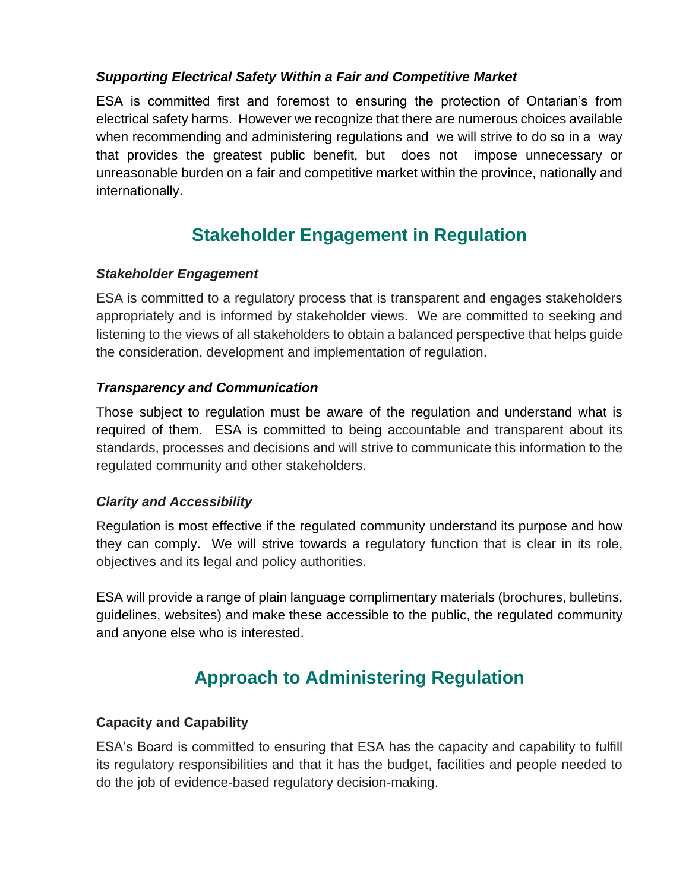### *Supporting Electrical Safety Within a Fair and Competitive Market*

ESA is committed first and foremost to ensuring the protection of Ontarian's from electrical safety harms. However we recognize that there are numerous choices available when recommending and administering regulations and we will strive to do so in a way that provides the greatest public benefit, but does not impose unnecessary or unreasonable burden on a fair and competitive market within the province, nationally and internationally.

## **Stakeholder Engagement in Regulation**

### *Stakeholder Engagement*

ESA is committed to a regulatory process that is transparent and engages stakeholders appropriately and is informed by stakeholder views. We are committed to seeking and listening to the views of all stakeholders to obtain a balanced perspective that helps guide the consideration, development and implementation of regulation.

### *Transparency and Communication*

Those subject to regulation must be aware of the regulation and understand what is required of them. ESA is committed to being accountable and transparent about its standards, processes and decisions and will strive to communicate this information to the regulated community and other stakeholders.

#### *Clarity and Accessibility*

Regulation is most effective if the regulated community understand its purpose and how they can comply. We will strive towards a regulatory function that is clear in its role, objectives and its legal and policy authorities.

ESA will provide a range of plain language complimentary materials (brochures, bulletins, guidelines, websites) and make these accessible to the public, the regulated community and anyone else who is interested.

## **Approach to Administering Regulation**

### **Capacity and Capability**

ESA's Board is committed to ensuring that ESA has the capacity and capability to fulfill its regulatory responsibilities and that it has the budget, facilities and people needed to do the job of evidence-based regulatory decision-making.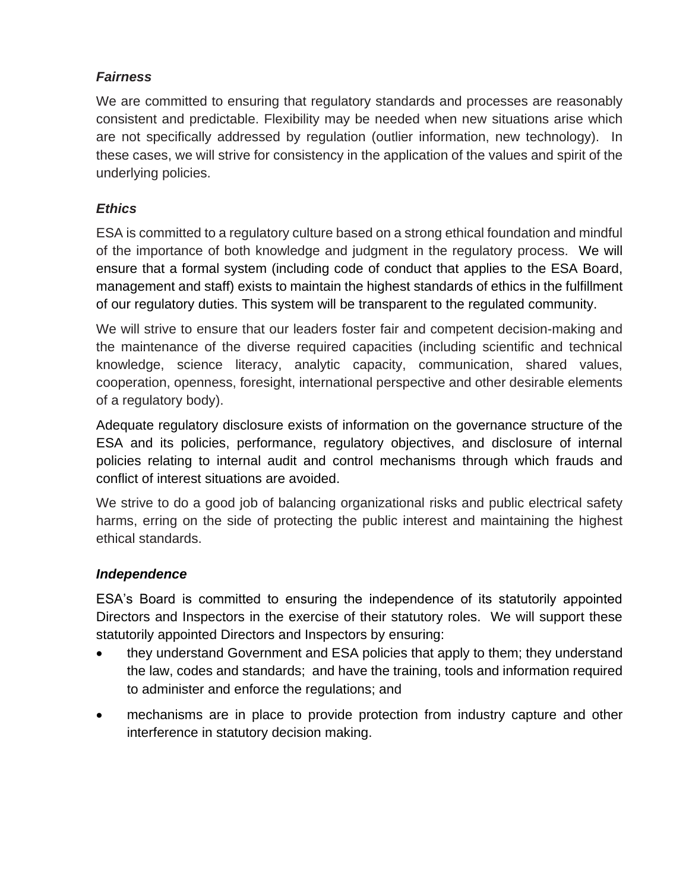## *Fairness*

We are committed to ensuring that regulatory standards and processes are reasonably consistent and predictable. Flexibility may be needed when new situations arise which are not specifically addressed by regulation (outlier information, new technology). In these cases, we will strive for consistency in the application of the values and spirit of the underlying policies.

## *Ethics*

ESA is committed to a regulatory culture based on a strong ethical foundation and mindful of the importance of both knowledge and judgment in the regulatory process. We will ensure that a formal system (including code of conduct that applies to the ESA Board, management and staff) exists to maintain the highest standards of ethics in the fulfillment of our regulatory duties. This system will be transparent to the regulated community.

We will strive to ensure that our leaders foster fair and competent decision-making and the maintenance of the diverse required capacities (including scientific and technical knowledge, science literacy, analytic capacity, communication, shared values, cooperation, openness, foresight, international perspective and other desirable elements of a regulatory body).

Adequate regulatory disclosure exists of information on the governance structure of the ESA and its policies, performance, regulatory objectives, and disclosure of internal policies relating to internal audit and control mechanisms through which frauds and conflict of interest situations are avoided.

We strive to do a good job of balancing organizational risks and public electrical safety harms, erring on the side of protecting the public interest and maintaining the highest ethical standards.

## *Independence*

ESA's Board is committed to ensuring the independence of its statutorily appointed Directors and Inspectors in the exercise of their statutory roles. We will support these statutorily appointed Directors and Inspectors by ensuring:

- they understand Government and ESA policies that apply to them; they understand the law, codes and standards; and have the training, tools and information required to administer and enforce the regulations; and
- mechanisms are in place to provide protection from industry capture and other interference in statutory decision making.